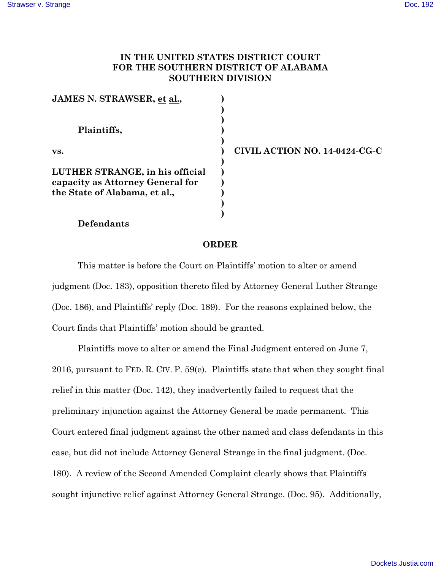## **IN THE UNITED STATES DISTRICT COURT FOR THE SOUTHERN DISTRICT OF ALABAMA SOUTHERN DIVISION**

| JAMES N. STRAWSER, et al.,       |  |
|----------------------------------|--|
|                                  |  |
| Plaintiffs,                      |  |
| vs.                              |  |
| LUTHER STRANGE, in his official  |  |
| capacity as Attorney General for |  |
| the State of Alabama, et al.,    |  |
|                                  |  |
|                                  |  |

**vs. ) CIVIL ACTION NO. 14-0424-CG-C**

## **Defendants**

## **ORDER**

This matter is before the Court on Plaintiffs' motion to alter or amend judgment (Doc. 183), opposition thereto filed by Attorney General Luther Strange (Doc. 186), and Plaintiffs' reply (Doc. 189). For the reasons explained below, the Court finds that Plaintiffs' motion should be granted.

Plaintiffs move to alter or amend the Final Judgment entered on June 7, 2016, pursuant to FED. R. CIV. P. 59(e). Plaintiffs state that when they sought final relief in this matter (Doc. 142), they inadvertently failed to request that the preliminary injunction against the Attorney General be made permanent. This Court entered final judgment against the other named and class defendants in this case, but did not include Attorney General Strange in the final judgment. (Doc. 180). A review of the Second Amended Complaint clearly shows that Plaintiffs sought injunctive relief against Attorney General Strange. (Doc. 95). Additionally,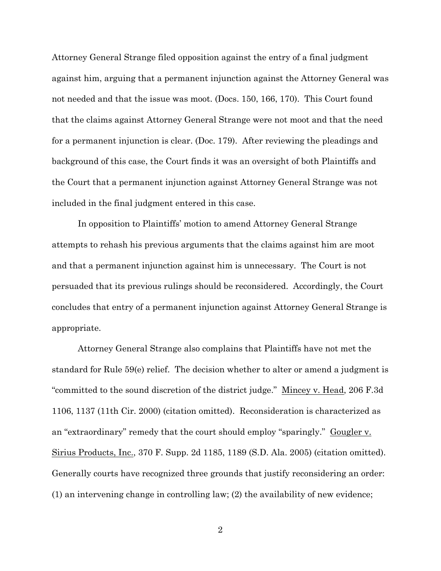Attorney General Strange filed opposition against the entry of a final judgment against him, arguing that a permanent injunction against the Attorney General was not needed and that the issue was moot. (Docs. 150, 166, 170). This Court found that the claims against Attorney General Strange were not moot and that the need for a permanent injunction is clear. (Doc. 179). After reviewing the pleadings and background of this case, the Court finds it was an oversight of both Plaintiffs and the Court that a permanent injunction against Attorney General Strange was not included in the final judgment entered in this case.

In opposition to Plaintiffs' motion to amend Attorney General Strange attempts to rehash his previous arguments that the claims against him are moot and that a permanent injunction against him is unnecessary. The Court is not persuaded that its previous rulings should be reconsidered. Accordingly, the Court concludes that entry of a permanent injunction against Attorney General Strange is appropriate.

Attorney General Strange also complains that Plaintiffs have not met the standard for Rule 59(e) relief. The decision whether to alter or amend a judgment is "committed to the sound discretion of the district judge." Mincey v. Head, 206 F.3d 1106, 1137 (11th Cir. 2000) (citation omitted). Reconsideration is characterized as an "extraordinary" remedy that the court should employ "sparingly." Gougler v. Sirius Products, Inc., 370 F. Supp. 2d 1185, 1189 (S.D. Ala. 2005) (citation omitted). Generally courts have recognized three grounds that justify reconsidering an order: (1) an intervening change in controlling law; (2) the availability of new evidence;

2